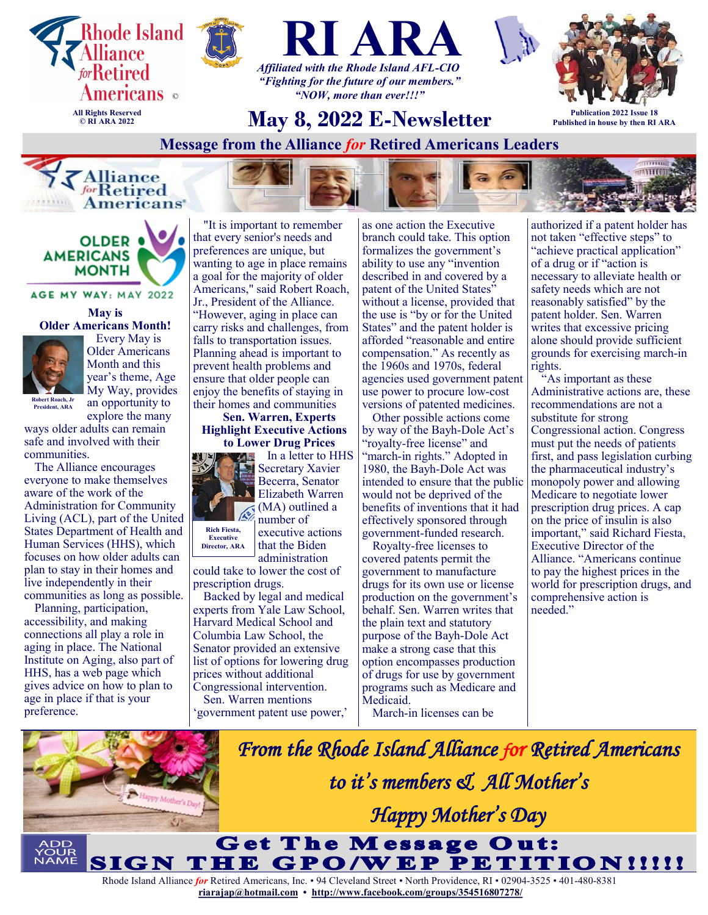





*"Fighting for the future of our members." "NOW, more than ever!!!"*



**Publication 2022 Issue 18 Published in house by then RI ARA**

**May 8, 2022 E-Newsletter Message from the Alliance** *for* **Retired Americans Leaders** 







AGE MY WAY: MAY 2022

**May is Older Americans Month!**



 Every May is Older Americans Month and this year's theme, Age My Way, provides an opportunity to

**Robert Roach, Jr President, ARA**

explore the many ways older adults can remain safe and involved with their communities.

The Alliance encourages everyone to make themselves aware of the work of the Administration for Community Living (ACL), part of the United States Department of Health and Human Services (HHS), which focuses on how older adults can plan to stay in their homes and live independently in their communities as long as possible.

Planning, participation, accessibility, and making connections all play a role in aging in place. The National Institute on Aging, also part of HHS, has a web page which gives advice on how to plan to age in place if that is your preference.

"It is important to remember that every senior's needs and preferences are unique, but wanting to age in place remains a goal for the majority of older Americans," said Robert Roach, Jr., President of the Alliance. "However, aging in place can carry risks and challenges, from falls to transportation issues. Planning ahead is important to prevent health problems and ensure that older people can enjoy the benefits of staying in their homes and communities

**Sen. Warren, Experts Highlight Executive Actions to Lower Drug Prices**



Secretary Xavier Becerra, Senator Elizabeth Warren (MA) outlined a number of executive actions

that the Biden administration

could take to lower the cost of prescription drugs.

Backed by legal and medical experts from Yale Law School, Harvard Medical School and Columbia Law School, the Senator provided an extensive list of options for lowering drug prices without additional Congressional intervention. Sen. Warren mentions

'government patent use power,'

as one action the Executive branch could take. This option formalizes the government's ability to use any "invention described in and covered by a patent of the United States" without a license, provided that the use is "by or for the United States" and the patent holder is afforded "reasonable and entire compensation." As recently as the 1960s and 1970s, federal agencies used government patent use power to procure low-cost versions of patented medicines.

Other possible actions come by way of the Bayh-Dole Act's "royalty-free license" and "march-in rights." Adopted in 1980, the Bayh-Dole Act was intended to ensure that the public would not be deprived of the benefits of inventions that it had effectively sponsored through government-funded research.

Royalty-free licenses to covered patents permit the government to manufacture drugs for its own use or license production on the government's behalf. Sen. Warren writes that the plain text and statutory purpose of the Bayh-Dole Act make a strong case that this option encompasses production of drugs for use by government programs such as Medicare and Medicaid.

March-in licenses can be

authorized if a patent holder has not taken "effective steps" to "achieve practical application" of a drug or if "action is necessary to alleviate health or safety needs which are not reasonably satisfied" by the patent holder. Sen. Warren writes that excessive pricing alone should provide sufficient grounds for exercising march-in rights.

"As important as these Administrative actions are, these recommendations are not a substitute for strong Congressional action. Congress must put the needs of patients first, and pass legislation curbing the pharmaceutical industry's monopoly power and allowing Medicare to negotiate lower prescription drug prices. A cap on the price of insulin is also important," said Richard Fiesta, Executive Director of the Alliance. "Americans continue to pay the highest prices in the world for prescription drugs, and comprehensive action is needed."

*From the Rhode Island Alliance for Retired Americans to it's members & All Mother's*  PPy Mother's De *Happy Mother's Day* O. **Get The Message Out:** IGN THE GPO/WEP PETITION!!!!!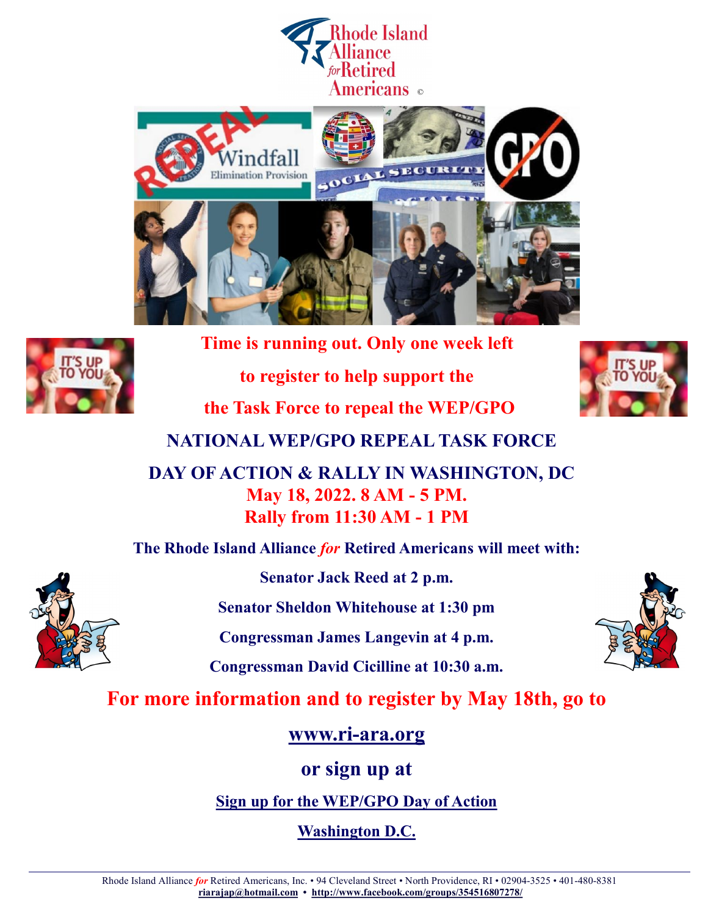





**Time is running out. Only one week left to register to help support the the Task Force to repeal the WEP/GPO**



**NATIONAL WEP/GPO REPEAL TASK FORCE**

**DAY OF ACTION & RALLY IN WASHINGTON, DC May 18, 2022. 8 AM - 5 PM. Rally from 11:30 AM - 1 PM**

**The Rhode Island Alliance** *for* **Retired Americans will meet with:**



**Senator Jack Reed at 2 p.m.**

**Senator Sheldon Whitehouse at 1:30 pm**

**Congressman James Langevin at 4 p.m.**

**Congressman David Cicilline at 10:30 a.m.**

**For more information and to register by May 18th, go to**

**www.ri-[ara.org](http://ri-ara.org/upcoming%20events.html)**

**or sign up at**

**[Sign up for the WEP/GPO Day of Action](https://docs.google.com/forms/d/e/1FAIpQLSd5t0JMAcM_Y26AM_UunCa-SBgbIGOZp4raW9l6hazYSfcycQ/viewform)**

**[Washington D.C.](https://docs.google.com/forms/d/e/1FAIpQLSd5t0JMAcM_Y26AM_UunCa-SBgbIGOZp4raW9l6hazYSfcycQ/viewform)**

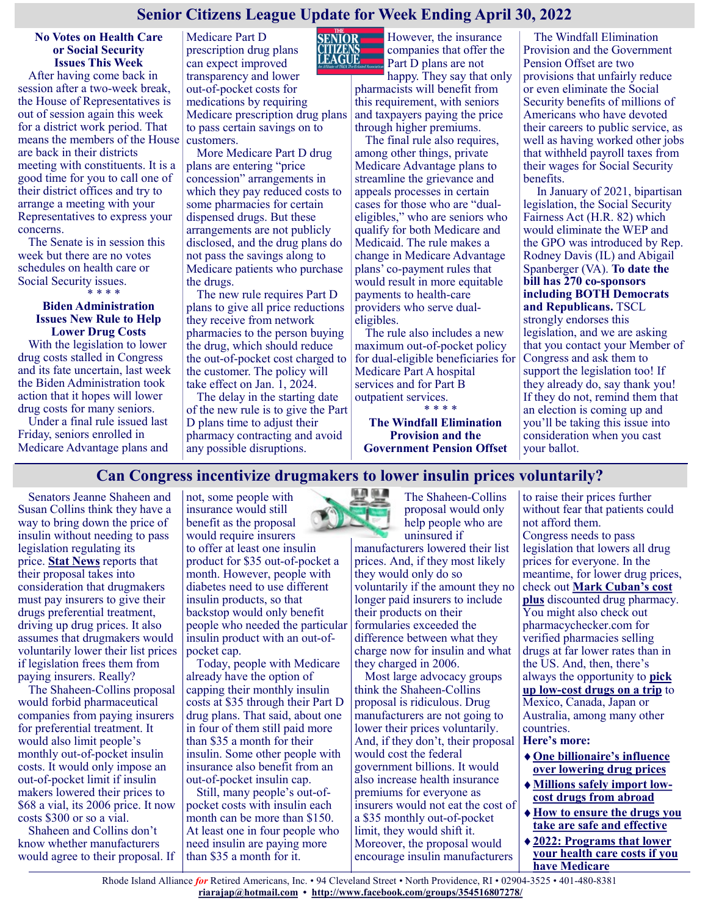## **Senior Citizens League Update for Week Ending April 30, 2022**

#### **No Votes on Health Care or Social Security Issues This Week**

After having come back in session after a two-week break, the House of Representatives is out of session again this week for a district work period. That means the members of the House are back in their districts meeting with constituents. It is a good time for you to call one of their district offices and try to arrange a meeting with your Representatives to express your concerns.

The Senate is in session this week but there are no votes schedules on health care or Social Security issues.

\* \* \* \*

#### **Biden Administration Issues New Rule to Help Lower Drug Costs**

With the legislation to lower drug costs stalled in Congress and its fate uncertain, last week the Biden Administration took action that it hopes will lower drug costs for many seniors.

Under a final rule issued last Friday, seniors enrolled in Medicare Advantage plans and

Medicare Part D prescription drug plans can expect improved transparency and lower out-of-pocket costs for medications by requiring Medicare prescription drug plans to pass certain savings on to customers.

More Medicare Part D drug plans are entering "price concession" arrangements in which they pay reduced costs to some pharmacies for certain dispensed drugs. But these arrangements are not publicly disclosed, and the drug plans do not pass the savings along to Medicare patients who purchase the drugs.

The new rule requires Part D plans to give all price reductions they receive from network pharmacies to the person buying the drug, which should reduce the out-of-pocket cost charged to the customer. The policy will take effect on Jan. 1, 2024.

The delay in the starting date of the new rule is to give the Part D plans time to adjust their pharmacy contracting and avoid any possible disruptions.



However, the insurance companies that offer the Part D plans are not

happy. They say that only pharmacists will benefit from this requirement, with seniors and taxpayers paying the price through higher premiums.

The final rule also requires, among other things, private Medicare Advantage plans to streamline the grievance and appeals processes in certain cases for those who are "dualeligibles," who are seniors who qualify for both Medicare and Medicaid. The rule makes a change in Medicare Advantage plans' co-payment rules that would result in more equitable payments to health-care providers who serve dualeligibles.

The rule also includes a new maximum out-of-pocket policy for dual-eligible beneficiaries for Medicare Part A hospital services and for Part B outpatient services. \* \* \* \*

**The Windfall Elimination Provision and the Government Pension Offset**

The Windfall Elimination Provision and the Government Pension Offset are two provisions that unfairly reduce or even eliminate the Social Security benefits of millions of Americans who have devoted their careers to public service, as well as having worked other jobs that withheld payroll taxes from their wages for Social Security benefits.

In January of 2021, bipartisan legislation, the Social Security Fairness Act (H.R. 82) which would eliminate the WEP and the GPO was introduced by Rep. Rodney Davis (IL) and Abigail Spanberger (VA). **To date the bill has 270 co-sponsors including BOTH Democrats and Republicans.** TSCL strongly endorses this legislation, and we are asking that you contact your Member of Congress and ask them to support the legislation too! If they already do, say thank you! If they do not, remind them that an election is coming up and you'll be taking this issue into consideration when you cast your ballot.

## **Can Congress incentivize drugmakers to lower insulin prices voluntarily?**

Senators Jeanne Shaheen and Susan Collins think they have a way to bring down the price of insulin without needing to pass legislation regulating its price. **[Stat News](https://www.statnews.com/2022/04/29/would-drugmakers-lower-their-insulin-prices-if-congress-asks-nicely/?utm_source=STATNewsletters&utm_campaign=0943332f88-MR_COPY_01&utm_medium=email&utm_term=0_8cab1d7961-0943332f88-149534613)** reports that their proposal takes into consideration that drugmakers must pay insurers to give their drugs preferential treatment, driving up drug prices. It also assumes that drugmakers would voluntarily lower their list prices if legislation frees them from paying insurers. Really?

The Shaheen-Collins proposal would forbid pharmaceutical companies from paying insurers for preferential treatment. It would also limit people's monthly out-of-pocket insulin costs. It would only impose an out-of-pocket limit if insulin makers lowered their prices to \$68 a vial, its 2006 price. It now costs \$300 or so a vial.

Shaheen and Collins don't know whether manufacturers would agree to their proposal. If

not, some people with insurance would still benefit as the proposal would require insurers to offer at least one insulin product for \$35 out-of-pocket a month. However, people with diabetes need to use different insulin products, so that backstop would only benefit people who needed the particular insulin product with an out-ofpocket cap.

Today, people with Medicare already have the option of capping their monthly insulin costs at \$35 through their Part D drug plans. That said, about one in four of them still paid more than \$35 a month for their insulin. Some other people with insurance also benefit from an out-of-pocket insulin cap.

Still, many people's out-ofpocket costs with insulin each month can be more than \$150. At least one in four people who need insulin are paying more than \$35 a month for it.



The Shaheen-Collins proposal would only help people who are uninsured if

manufacturers lowered their list prices. And, if they most likely they would only do so voluntarily if the amount they no longer paid insurers to include their products on their formularies exceeded the difference between what they charge now for insulin and what they charged in 2006.

Most large advocacy groups think the Shaheen-Collins proposal is ridiculous. Drug manufacturers are not going to lower their prices voluntarily. And, if they don't, their proposal **Here's more:** would cost the federal government billions. It would also increase health insurance premiums for everyone as insurers would not eat the cost of a \$35 monthly out-of-pocket limit, they would shift it. Moreover, the proposal would encourage insulin manufacturers

to raise their prices further without fear that patients could not afford them. Congress needs to pass legislation that lowers all drug prices for everyone. In the meantime, for lower drug prices, check out **[Mark Cuban's cost](https://justcareusa.org/mark-cuban-launches-low-cost-drug-pharmacy/)  [plus](https://justcareusa.org/mark-cuban-launches-low-cost-drug-pharmacy/)** discounted drug pharmacy. You might also check out pharmacychecker.com for verified pharmacies selling drugs at far lower rates than in the US. And, then, there's always the opportunity to **[pick](https://justcareusa.org/millions-safely-import-low-cost-drugs-from-abroad/)  up low-[cost drugs on a trip](https://justcareusa.org/millions-safely-import-low-cost-drugs-from-abroad/)** to Mexico, Canada, Japan or Australia, among many other countries.

- **[One billionaire's influence](https://justcareusa.org/one-billionaires-influence-over-lowering-drug-prices/)  [over lowering drug prices](https://justcareusa.org/one-billionaires-influence-over-lowering-drug-prices/)**
- **[Millions safely import low](https://justcareusa.org/millions-safely-import-low-cost-drugs-from-abroad/)[cost drugs from abroad](https://justcareusa.org/millions-safely-import-low-cost-drugs-from-abroad/)**
- **[How to ensure the drugs you](https://justcareusa.org/how-to-ensure-the-drugs-you-take-are-safe-and-effective/)  [take are safe and effective](https://justcareusa.org/how-to-ensure-the-drugs-you-take-are-safe-and-effective/)**
- **[2022: Programs that lower](https://justcareusa.org/2022-programs-that-lower-your-health-care-costs-if-you-have-medicare/)  [your health care costs if you](https://justcareusa.org/2022-programs-that-lower-your-health-care-costs-if-you-have-medicare/)  [have Medicare](https://justcareusa.org/2022-programs-that-lower-your-health-care-costs-if-you-have-medicare/)**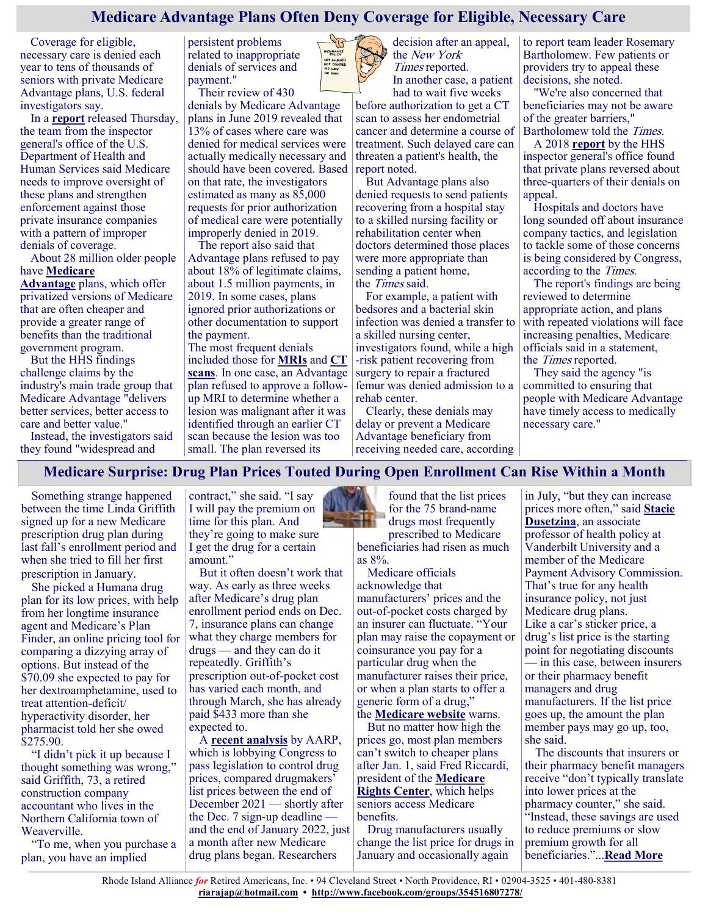## **Medicare Advantage Plans Often Deny Coverage for Eligible, Necessary Care**

Coverage for eligible, necessary care is denied each year to tens of thousands of seniors with private Medicare Advantage plans, U.S. federal investigators say.

In a **[report](https://oig.hhs.gov/oei/reports/OEI-09-18-00260.pdf)** released Thursday, the team from the inspector general's office of the U.S. Department of Health and Human Services said Medicare needs to improve oversight of these plans and strengthen enforcement against those private insurance companies with a pattern of improper denials of coverage.

About 28 million older people have **[Medicare](https://www.medicare.gov/sites/default/files/2018-07/11474.pdf)** 

**[Advantage](https://www.medicare.gov/sites/default/files/2018-07/11474.pdf)** plans, which offer privatized versions of Medicare that are often cheaper and provide a greater range of benefits than the traditional government program.

But the HHS findings challenge claims by the industry's main trade group that Medicare Advantage "delivers better services, better access to care and better value."

Instead, the investigators said they found "widespread and

persistent problems related to inappropriate denials of services and payment."

Their review of 430

denials by Medicare Advantage plans in June 2019 revealed that 13% of cases where care was denied for medical services were actually medically necessary and should have been covered. Based on that rate, the investigators estimated as many as 85,000 requests for prior authorization of medical care were potentially improperly denied in 2019.

The report also said that Advantage plans refused to pay about 18% of legitimate claims, about 1.5 million payments, in 2019. In some cases, plans ignored prior authorizations or other documentation to support the payment.

The most frequent denials included those for **[MRIs](https://www.nibib.nih.gov/science-education/science-topics/magnetic-resonance-imaging-mri)** and **[CT](https://www.hopkinsmedicine.org/health/treatment-tests-and-therapies/computed-tomography-ct-scan#:~:text=A%20CT%20scan%20is%20a%20diagnostic%20imaging%20procedure%20that%20uses,detailed%20than%20standard%20X%2Drays.)  [scans](https://www.hopkinsmedicine.org/health/treatment-tests-and-therapies/computed-tomography-ct-scan#:~:text=A%20CT%20scan%20is%20a%20diagnostic%20imaging%20procedure%20that%20uses,detailed%20than%20standard%20X%2Drays.)**. In one case, an Advantage plan refused to approve a followup MRI to determine whether a lesion was malignant after it was identified through an earlier CT scan because the lesion was too small. The plan reversed its



decision after an appeal, the New York Times reported.

In another case, a patient had to wait five weeks

before authorization to get a CT scan to assess her endometrial cancer and determine a course of treatment. Such delayed care can threaten a patient's health, the report noted.

But Advantage plans also denied requests to send patients recovering from a hospital stay to a skilled nursing facility or rehabilitation center when doctors determined those places were more appropriate than sending a patient home, the *Times* said.

For example, a patient with bedsores and a bacterial skin infection was denied a transfer to a skilled nursing center, investigators found, while a high -risk patient recovering from surgery to repair a fractured femur was denied admission to a rehab center.

Clearly, these denials may delay or prevent a Medicare Advantage beneficiary from receiving needed care, according

to report team leader Rosemary Bartholomew. Few patients or providers try to appeal these decisions, she noted.

"We're also concerned that beneficiaries may not be aware of the greater barriers," Bartholomew told the Times.

A 2018 **[report](https://oig.hhs.gov/oei/reports/oei-09-16-00410.asp)** by the HHS inspector general's office found that private plans reversed about three-quarters of their denials on appeal.

Hospitals and doctors have long sounded off about insurance company tactics, and legislation to tackle some of those concerns is being considered by Congress, according to the Times.

The report's findings are being reviewed to determine appropriate action, and plans with repeated violations will face increasing penalties, Medicare officials said in a statement, the *Times* reported.

They said the agency "is committed to ensuring that people with Medicare Advantage have timely access to medically necessary care."

**Medicare Surprise: Drug Plan Prices Touted During Open Enrollment Can Rise Within a Month**

Something strange happened between the time Linda Griffith signed up for a new Medicare prescription drug plan during last fall's enrollment period and when she tried to fill her first prescription in January.

She picked a Humana drug plan for its low prices, with help from her longtime insurance agent and Medicare's Plan Finder, an online pricing tool for comparing a dizzying array of options. But instead of the \$70.09 she expected to pay for her dextroamphetamine, used to treat attention-deficit/ hyperactivity disorder, her pharmacist told her she owed \$275.90.

"I didn't pick it up because I thought something was wrong," said Griffith, 73, a retired construction company accountant who lives in the Northern California town of Weaverville.

"To me, when you purchase a plan, you have an implied

contract," she said. "I say I will pay the premium on time for this plan. And they're going to make sure I get the drug for a certain amount."

But it often doesn't work that way. As early as three weeks after Medicare's drug plan enrollment period ends on Dec. 7, insurance plans can change what they charge members for drugs — and they can do it repeatedly. Griffith's prescription out-of-pocket cost has varied each month, and through March, she has already paid \$433 more than she expected to.

A **[recent analysis](https://blog.aarp.org/thinking-policy/prices-for-most-top-medicare-part-d-drugs-have-already-increased-in-2022)** by AARP, which is lobbying Congress to pass legislation to control drug prices, compared drugmakers' list prices between the end of December 2021 — shortly after the Dec. 7 sign-up deadline and the end of January 2022, just a month after new Medicare drug plans began. Researchers

found that the list prices for the 75 brand-name drugs most frequently prescribed to Medicare

beneficiaries had risen as much as 8%.

Medicare officials acknowledge that manufacturers' prices and the out-of-pocket costs charged by an insurer can fluctuate. "Your plan may raise the copayment or coinsurance you pay for a particular drug when the manufacturer raises their price, or when a plan starts to offer a generic form of a drug," the **[Medicare website](https://www.medicare.gov/drug-coverage-part-d/costs-for-medicare-drug-coverage/copaymentcoinsurance-in-drug-plans)** warns.

But no matter how high the prices go, most plan members can't switch to cheaper plans after Jan. 1, said Fred Riccardi, president of the **[Medicare](http://www.medicarerights.org/)  [Rights Center](http://www.medicarerights.org/)**, which helps seniors access Medicare benefits.

Drug manufacturers usually change the list price for drugs in January and occasionally again

in July, "but they can increase prices more often," said **[Stacie](https://www.vumc.org/health-policy/person/stacie-b-dusetzina-phd)  [Dusetzina](https://www.vumc.org/health-policy/person/stacie-b-dusetzina-phd)**, an associate professor of health policy at Vanderbilt University and a member of the Medicare Payment Advisory Commission. That's true for any health insurance policy, not just Medicare drug plans. Like a car's sticker price, a drug's list price is the starting point for negotiating discounts — in this case, between insurers or their pharmacy benefit managers and drug manufacturers. If the list price goes up, the amount the plan member pays may go up, too, she said.

The discounts that insurers or their pharmacy benefit managers receive "don't typically translate into lower prices at the pharmacy counter," she said. "Instead, these savings are used to reduce premiums or slow premium growth for all beneficiaries."...**[Read More](https://khn.org/news/article/medicare-drug-plan-prices-open-enrollment-rise/)**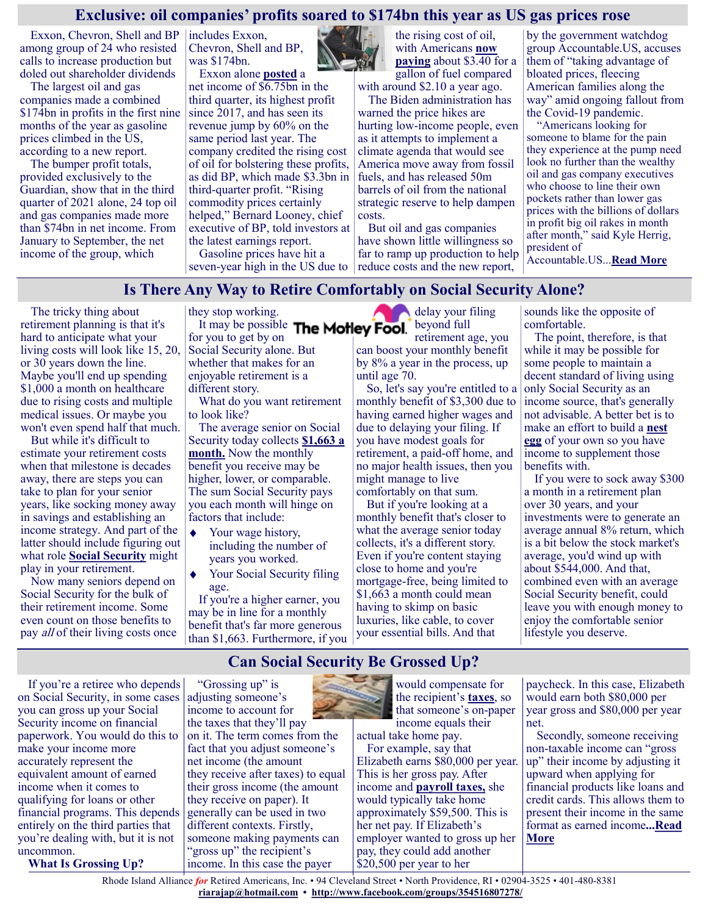#### **Exclusive: oil companies' profits soared to \$174bn this year as US gas prices rose**

Exxon, Chevron, Shell and BP among group of 24 who resisted calls to increase production but doled out shareholder dividends

The largest oil and gas companies made a combined \$174bn in profits in the first nine months of the year as gasoline prices climbed in the US, according to a new report.

The bumper profit totals, provided exclusively to the Guardian, show that in the third quarter of 2021 alone, 24 top oil and gas companies made more than \$74bn in net income. From January to September, the net income of the group, which

includes Exxon, Chevron, Shell and BP, was \$174bn. Exxon alone **[posted](https://www.reuters.com/business/energy/exxon-mobil-posts-highest-quarterly-profit-nearly-four-years-2021-10-29/)** a

net income of \$6.75bn in the third quarter, its highest profit since 2017, and has seen its revenue jump by 60% on the same period last year. The company credited the rising cost of oil for bolstering these profits, as did BP, which made \$3.3bn in third-quarter profit. "Rising commodity prices certainly helped," Bernard Looney, chief executive of BP, told investors at the latest earnings report.

Gasoline prices have hit a seven-year high in the US due to

the rising cost of oil, with Americans **[now](https://www.eia.gov/dnav/pet/hist/LeafHandler.ashx?n=pet&s=emm_epmr_pte_nus_dpg&f=m)  [paying](https://www.eia.gov/dnav/pet/hist/LeafHandler.ashx?n=pet&s=emm_epmr_pte_nus_dpg&f=m)** about \$3.40 for a gallon of fuel compared with around \$2.10 a year ago.

The Biden administration has warned the price hikes are hurting low-income people, even as it attempts to implement a climate agenda that would see America move away from fossil fuels, and has released 50m barrels of oil from the national strategic reserve to help dampen costs.

But oil and gas companies have shown little willingness so far to ramp up production to help reduce costs and the new report,

by the government watchdog group Accountable.US, accuses them of "taking advantage of bloated prices, fleecing American families along the way" amid ongoing fallout from the Covid-19 pandemic.

"Americans looking for someone to blame for the pain they experience at the pump need look no further than the wealthy oil and gas company executives who choose to line their own pockets rather than lower gas prices with the billions of dollars in profit big oil rakes in month after month," said Kyle Herrig, president of Accountable.US...**[Read More](https://www.theguardian.com/business/2021/dec/06/oil-companies-profits-exxon-chevron-shell-exclusive)**

**Is There Any Way to Retire Comfortably on Social Security Alone?**

The tricky thing about retirement planning is that it's hard to anticipate what your living costs will look like 15, 20, or 30 years down the line. Maybe you'll end up spending \$1,000 a month on healthcare due to rising costs and multiple medical issues. Or maybe you won't even spend half that much.

But while it's difficult to estimate your retirement costs when that milestone is decades away, there are steps you can take to plan for your senior years, like socking money away in savings and establishing an income strategy. And part of the latter should include figuring out what role **[Social Security](https://www.fool.com/retirement/social-security/?utm_source=msnrss&utm_medium=feed&utm_campaign=article&referring_guid=aa167d78-696a-418a-aa1e-2b0739cb8f2a)** might play in your retirement.

Now many seniors depend on Social Security for the bulk of their retirement income. Some even count on those benefits to pay *all* of their living costs once they stop working.

It may be possible The Motley Fool. for you to get by on Social Security alone. But whether that makes for an enjoyable retirement is a different story.

What do you want retirement to look like?

The average senior on Social Security today collects **[\\$1,663 a](https://www.fool.com/investing/2022/04/09/3-ways-to-beat-the-average-social-security-check/?utm_source=msnrss&utm_medium=feed&utm_campaign=article&referring_guid=aa167d78-696a-418a-aa1e-2b0739cb8f2a)  [month.](https://www.fool.com/investing/2022/04/09/3-ways-to-beat-the-average-social-security-check/?utm_source=msnrss&utm_medium=feed&utm_campaign=article&referring_guid=aa167d78-696a-418a-aa1e-2b0739cb8f2a)** Now the monthly benefit you receive may be higher, lower, or comparable. The sum Social Security pays you each month will hinge on factors that include:

- Your wage history,  $\blacklozenge$ including the number of years you worked.
- Your Social Security filing age.

If you're a higher earner, you may be in line for a monthly benefit that's far more generous than \$1,663. Furthermore, if you delay your filing beyond full

retirement age, you can boost your monthly benefit by 8% a year in the process, up until age 70.

So, let's say you're entitled to a monthly benefit of \$3,300 due to having earned higher wages and due to delaying your filing. If you have modest goals for retirement, a paid-off home, and no major health issues, then you might manage to live comfortably on that sum.

But if you're looking at a monthly benefit that's closer to what the average senior today collects, it's a different story. Even if you're content staying close to home and you're mortgage-free, being limited to \$1,663 a month could mean having to skimp on basic luxuries, like cable, to cover your essential bills. And that

sounds like the opposite of comfortable.

The point, therefore, is that while it may be possible for some people to maintain a decent standard of living using only Social Security as an income source, that's generally not advisable. A better bet is to make an effort to build a **[nest](https://www.fool.com/investing/2022/04/14/could-you-retire-on-a-65000-nest-egg-some-american/?utm_source=msnrss&utm_medium=feed&utm_campaign=article&referring_guid=aa167d78-696a-418a-aa1e-2b0739cb8f2a)  [egg](https://www.fool.com/investing/2022/04/14/could-you-retire-on-a-65000-nest-egg-some-american/?utm_source=msnrss&utm_medium=feed&utm_campaign=article&referring_guid=aa167d78-696a-418a-aa1e-2b0739cb8f2a)** of your own so you have income to supplement those benefits with.

If you were to sock away \$300 a month in a retirement plan over 30 years, and your investments were to generate an average annual 8% return, which is a bit below the stock market's average, you'd wind up with about \$544,000. And that, combined even with an average Social Security benefit, could leave you with enough money to enjoy the comfortable senior lifestyle you deserve.

**Can Social Security Be Grossed Up?**

If you're a retiree who depends on Social Security, in some cases you can gross up your Social Security income on financial paperwork. You would do this to make your income more accurately represent the equivalent amount of earned income when it comes to qualifying for loans or other financial programs. This depends entirely on the third parties that you're dealing with, but it is not uncommon.

**What Is Grossing Up?**

"Grossing up" is adjusting someone's income to account for the taxes that they'll pay on it. The term comes from the fact that you adjust someone's net income (the amount they receive after taxes) to equal their gross income (the amount they receive on paper). It generally can be used in two different contexts. Firstly, someone making payments can "gross up" the recipient's income. In this case the payer



would compensate for the recipient's **[taxes](https://smartasset.com/taxes/income-taxes#BHhv7lYsxx)**, so that someone's on-paper income equals their

actual take home pay. For example, say that

Elizabeth earns \$80,000 per year. This is her gross pay. After income and **[payroll taxes,](https://smartasset.com/taxes/all-about-the-fica-tax)** she would typically take home approximately \$59,500. This is her net pay. If Elizabeth's employer wanted to gross up her pay, they could add another \$20,500 per year to her

paycheck. In this case, Elizabeth would earn both \$80,000 per year gross and \$80,000 per year net.

Secondly, someone receiving non-taxable income can "gross up" their income by adjusting it upward when applying for financial products like loans and credit cards. This allows them to present their income in the same format as earned income**...[Read](https://www.msn.com/en-us/money/retirement/can-social-security-be-grossed-up/ar-AAWHXlI?ocid=SK2DDHP&cvid=a44678936be64090bbc9046e71d88f6d)  [More](https://www.msn.com/en-us/money/retirement/can-social-security-be-grossed-up/ar-AAWHXlI?ocid=SK2DDHP&cvid=a44678936be64090bbc9046e71d88f6d)**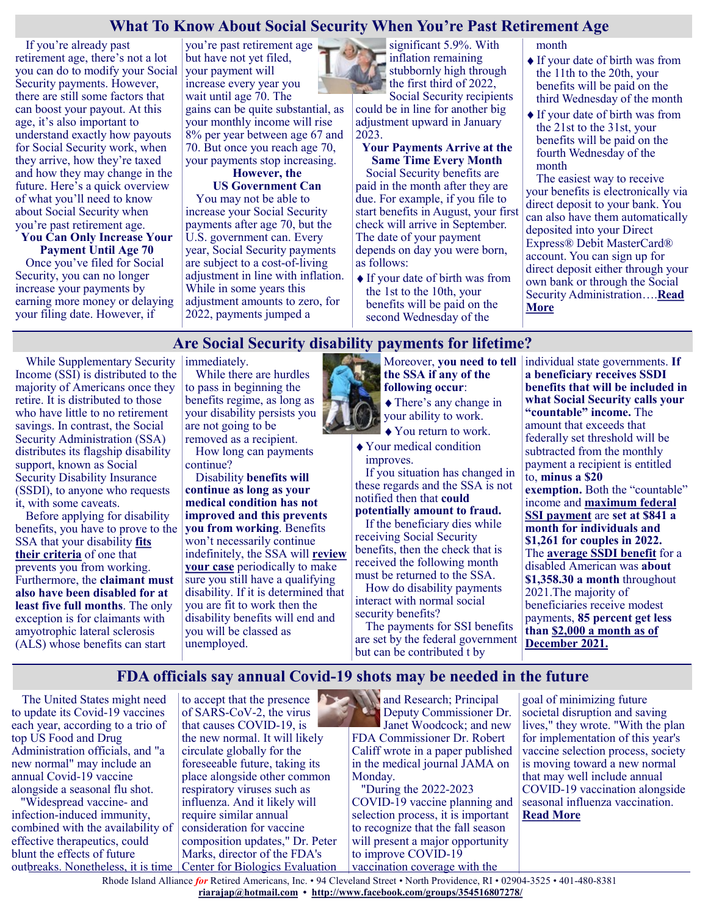### **What To Know About Social Security When You're Past Retirement Age**

If you're already past retirement age, there's not a lot you can do to modify your Social Security payments. However, there are still some factors that can boost your payout. At this age, it's also important to understand exactly how payouts for Social Security work, when they arrive, how they're taxed and how they may change in the future. Here's a quick overview of what you'll need to know about Social Security when you're past retirement age.

#### **You Can Only Increase Your Payment Until Age 70**

Once you've filed for Social Security, you can no longer increase your payments by earning more money or delaying your filing date. However, if

you're past retirement age but have not yet filed, your payment will increase every year you wait until age 70. The gains can be quite substantial, as your monthly income will rise 8% per year between age 67 and 70. But once you reach age 70, your payments stop increasing.

#### **However, the US Government Can**

You may not be able to increase your Social Security payments after age 70, but the U.S. government can. Every year, Social Security payments are subject to a cost-of-living adjustment in line with inflation. While in some years this adjustment amounts to zero, for 2022, payments jumped a

significant 5.9%. With inflation remaining stubbornly high through the first third of 2022, Social Security recipients

could be in line for another big adjustment upward in January 2023.

#### **Your Payments Arrive at the Same Time Every Month**

Social Security benefits are paid in the month after they are due. For example, if you file to start benefits in August, your first check will arrive in September. The date of your payment depends on day you were born, as follows:

If your date of birth was from the 1st to the 10th, your benefits will be paid on the second Wednesday of the

month

- If your date of birth was from the 11th to the 20th, your benefits will be paid on the third Wednesday of the month
- If your date of birth was from the 21st to the 31st, your benefits will be paid on the fourth Wednesday of the month

The easiest way to receive your benefits is electronically via direct deposit to your bank. You can also have them automatically deposited into your Direct Express® Debit MasterCard® account. You can sign up for direct deposit either through your own bank or through the Social Security Administration….**[Read](https://www.msn.com/en-us/money/retirement/what-to-know-about-social-security-when-you-re-past-retirement-age/ar-AAWHrd6?ocid=SK2DDHP&cvid=a44678936be64090bbc9046e71d88f6d)  [More](https://www.msn.com/en-us/money/retirement/what-to-know-about-social-security-when-you-re-past-retirement-age/ar-AAWHrd6?ocid=SK2DDHP&cvid=a44678936be64090bbc9046e71d88f6d)**

# **Are Social Security disability payments for lifetime?**

While Supplementary Security Income (SSI) is distributed to the majority of Americans once they retire. It is distributed to those who have little to no retirement savings. In contrast, the Social Security Administration (SSA) distributes its flagship disability support, known as Social Security Disability Insurance (SSDI), to anyone who requests it, with some caveats.

Before applying for disability benefits, you have to prove to the SSA that your disability **[fits](https://en.as.com/en/2021/10/04/latest_news/1633384369_902897.html)  [their criteria](https://en.as.com/en/2021/10/04/latest_news/1633384369_902897.html)** of one that prevents you from working. Furthermore, the **claimant must also have been disabled for at least five full months**. The only exception is for claimants with amyotrophic lateral sclerosis (ALS) whose benefits can start

immediately.

While there are hurdles to pass in beginning the benefits regime, as long as your disability persists you are not going to be removed as a recipient.

How long can payments continue?

Disability **benefits will continue as long as your medical condition has not improved and this prevents you from working**. Benefits won't necessarily continue indefinitely, the SSA will **[review](https://www.ssa.gov/pubs/EN-05-10153.pdf)  [your case](https://www.ssa.gov/pubs/EN-05-10153.pdf)** periodically to make sure you still have a qualifying disability. If it is determined that you are fit to work then the disability benefits will end and you will be classed as unemployed.



- You return to work.
- Your medical condition improves.

If you situation has changed in these regards and the SSA is not notified then that **could potentially amount to fraud.**

If the beneficiary dies while receiving Social Security benefits, then the check that is received the following month must be returned to the SSA.

How do disability payments interact with normal social security benefits?

The payments for SSI benefits are set by the federal government but can be contributed t by

individual state governments. **If a beneficiary receives SSDI benefits that will be included in what Social Security calls your "countable" income.** The amount that exceeds that federally set threshold will be subtracted from the monthly payment a recipient is entitled to, **minus a \$20 exemption.** Both the "countable" income and **[maximum federal](https://www.ssa.gov/oact/cola/SSI.html)  [SSI payment](https://www.ssa.gov/oact/cola/SSI.html)** are **set at \$841 a month for individuals and \$1,261 for couples in 2022.** The **[average SSDI benefit](https://www.ssa.gov/cgi-bin/currentpay.cgi)** for a disabled American was **about \$1,358.30 a month** throughout 2021.The majority of beneficiaries receive modest payments, **85 percent get less than [\\$2,000 a month](https://www.ssa.gov/OACT/ProgData/benefits/da_mbc202112.html) as of [December 2021.](https://www.ssa.gov/OACT/ProgData/benefits/da_mbc202112.html)**

# **FDA officials say annual Covid-19 shots may be needed in the future**

The United States might need to update its Covid-19 vaccines each year, according to a trio of top US Food and Drug Administration officials, and "a new normal" may include an annual Covid-19 vaccine alongside a seasonal flu shot.

 "Widespread vaccine- and infection-induced immunity, combined with the availability of effective therapeutics, could blunt the effects of future outbreaks. Nonetheless, it is time

to accept that the presence of SARS-CoV-2, the virus that causes COVID-19, is the new normal. It will likely circulate globally for the foreseeable future, taking its place alongside other common respiratory viruses such as influenza. And it likely will require similar annual consideration for vaccine composition updates," Dr. Peter Marks, director of the FDA's Center for Biologics Evaluation

**And Research; Principal** Deputy Commissioner Dr. Janet Woodcock; and new FDA Commissioner Dr. Robert Califf [wrote in a paper published](https://jamanetwork.com/journals/jama/fullarticle/2792030?c)  [in the medical journal JAMA](https://jamanetwork.com/journals/jama/fullarticle/2792030?c) on Monday.

 "During the 2022-2023 COVID-19 vaccine planning and selection process, it is important to recognize that the fall season will present a major opportunity to improve COVID-19 vaccination coverage with the

goal of minimizing future societal disruption and saving lives," they wrote. "With the plan for implementation of this year's vaccine selection process, society is moving toward a new normal that may well include annual COVID-19 vaccination alongside seasonal influenza vaccination. **[Read More](https://www.cnn.com/2022/05/03/health/fda-annual-covid-vaccines-jama-paper/index.html)**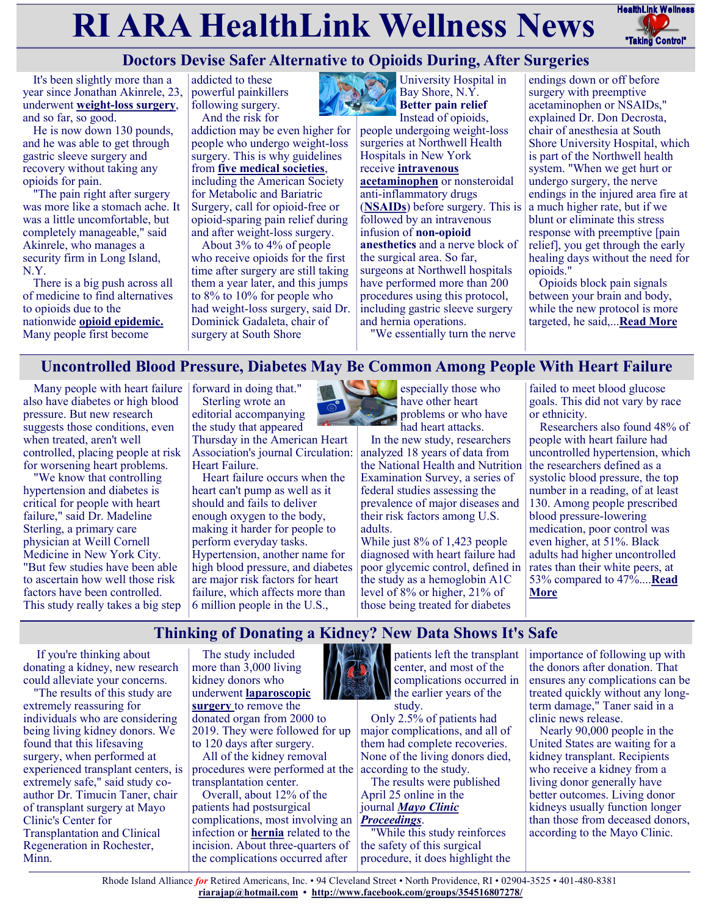# **RI ARA HealthLink Wellness News** Fractific Link Wellness



# **Doctors Devise Safer Alternative to Opioids During, After Surgeries**

It's been slightly more than a year since Jonathan Akinrele, 23, underwent **weight-[loss surgery](https://www.niddk.nih.gov/health-information/weight-management/bariatric-surgery/types)**, and so far, so good.

He is now down 130 pounds, and he was able to get through gastric sleeve surgery and recovery without taking any opioids for pain.

"The pain right after surgery was more like a stomach ache. It was a little uncomfortable, but completely manageable," said Akinrele, who manages a security firm in Long Island, N.Y.

There is a big push across all of medicine to find alternatives to opioids due to the nationwide **[opioid epidemic.](https://www.hhs.gov/opioids/about-the-epidemic/index.html)** Many people first become

addicted to these powerful painkillers following surgery. And the risk for

addiction may be even higher for people who undergo weight-loss surgery. This is why guidelines from **[five medical societies](https://pubmed.ncbi.nlm.nih.gov/31917200/)**, including the American Society for Metabolic and Bariatric Surgery, call for opioid-free or opioid-sparing pain relief during and after weight-loss surgery.

About 3% to 4% of people who receive opioids for the first time after surgery are still taking them a year later, and this jumps to 8% to 10% for people who had weight-loss surgery, said Dr. Dominick Gadaleta, chair of surgery at South Shore



University Hospital in Bay Shore, N.Y. **Better pain relief** Instead of opioids,

people undergoing weight-loss surgeries at Northwell Health Hospitals in New York receive **[intravenous](https://www.mayoclinic.org/drugs-supplements/acetaminophen-intravenous-route/description/drg-20074646)  [acetaminophen](https://www.mayoclinic.org/drugs-supplements/acetaminophen-intravenous-route/description/drg-20074646)** or nonsteroidal anti-inflammatory drugs (**[NSAIDs](https://my.clevelandclinic.org/health/drugs/11086-non-steroidal-anti-inflammatory-medicines-nsaids)**) before surgery. This is followed by an intravenous infusion of **non-[opioid](https://www.asahq.org/madeforthismoment/pain-management/non-opioid-treatment/)  [anesthetics](https://www.asahq.org/madeforthismoment/pain-management/non-opioid-treatment/)** and a nerve block of the surgical area. So far, surgeons at Northwell hospitals have performed more than 200 procedures using this protocol, including gastric sleeve surgery and hernia operations.

endings down or off before surgery with preemptive acetaminophen or NSAIDs," explained Dr. Don Decrosta, chair of anesthesia at South Shore University Hospital, which is part of the Northwell health system. "When we get hurt or undergo surgery, the nerve endings in the injured area fire at a much higher rate, but if we blunt or eliminate this stress response with preemptive [pain relief], you get through the early healing days without the need for opioids."

Opioids block pain signals between your brain and body,

"We essentially turn the nerve

while the new protocol is more targeted, he said,...**[Read More](https://consumer.healthday.com/surgery-without-opioids-2657209443.html)**

# **Uncontrolled Blood Pressure, Diabetes May Be Common Among People With Heart Failure**

Many people with heart failure forward in doing that." also have diabetes or high blood pressure. But new research suggests those conditions, even when treated, aren't well controlled, placing people at risk for worsening heart problems.

"We know that controlling hypertension and diabetes is critical for people with heart failure," said Dr. Madeline Sterling, a primary care physician at Weill Cornell Medicine in New York City. "But few studies have been able to ascertain how well those risk factors have been controlled. This study really takes a big step

Sterling wrote an editorial accompanying the study that appeared

Thursday in the American Heart Association's journal Circulation: analyzed 18 years of data from Heart Failure.

Heart failure occurs when the heart can't pump as well as it should and fails to deliver enough oxygen to the body, making it harder for people to perform everyday tasks. Hypertension, another name for high blood pressure, and diabetes are major risk factors for heart failure, which affects more than 6 million people in the U.S.,

especially those who have other heart problems or who have had heart attacks.

In the new study, researchers the National Health and Nutrition Examination Survey, a series of federal studies assessing the prevalence of major diseases and their risk factors among U.S. adults.

While just 8% of 1,423 people diagnosed with heart failure had poor glycemic control, defined in the study as a hemoglobin A1C level of 8% or higher, 21% of those being treated for diabetes

failed to meet blood glucose goals. This did not vary by race or ethnicity.

Researchers also found 48% of people with heart failure had uncontrolled hypertension, which the researchers defined as a systolic blood pressure, the top number in a reading, of at least 130. Among people prescribed blood pressure-lowering medication, poor control was even higher, at 51%. Black adults had higher uncontrolled rates than their white peers, at 53% compared to 47%....**[Read](https://consumer.healthday.com/aha-news-uncontrolled-blood-pressure-diabetes-may-be-common-among-people-with-heart-failure-2657230125.html)  [More](https://consumer.healthday.com/aha-news-uncontrolled-blood-pressure-diabetes-may-be-common-among-people-with-heart-failure-2657230125.html)**

# **Thinking of Donating a Kidney? New Data Shows It's Safe**

If you're thinking about donating a kidney, new research could alleviate your concerns.

"The results of this study are extremely reassuring for individuals who are considering being living kidney donors. We found that this lifesaving surgery, when performed at experienced transplant centers, is extremely safe," said study coauthor Dr. Timucin Taner, chair of transplant surgery at Mayo Clinic's Center for Transplantation and Clinical Regeneration in Rochester, Minn.

The study included more than 3,000 living kidney donors who underwent **[laparoscopic](https://medlineplus.gov/ency/presentations/100166_1.htm#:~:text=Laparoscopic%20surgery%20is%20a%20surgical,%2C%20cut%2C%20and%20sew%20tissue.)  [surgery](https://medlineplus.gov/ency/presentations/100166_1.htm#:~:text=Laparoscopic%20surgery%20is%20a%20surgical,%2C%20cut%2C%20and%20sew%20tissue.)** to remove the donated organ from 2000 to 2019. They were followed for up to 120 days after surgery.

All of the kidney removal procedures were performed at the according to the study. transplantation center.

Overall, about 12% of the patients had postsurgical complications, most involving an infection or **[hernia](https://familydoctor.org/condition/hernia/)** related to the incision. About three-quarters of the complications occurred after



patients left the transplant center, and most of the complications occurred in the earlier years of the

study.

Only 2.5% of patients had major complications, and all of them had complete recoveries. None of the living donors died,

The results were published April 25 online in the journal *[Mayo Clinic](https://www.mayoclinicproceedings.org/article/S0025-6196(21)00875-2/fulltext)* 

*[Proceedings](https://www.mayoclinicproceedings.org/article/S0025-6196(21)00875-2/fulltext)*.

"While this study reinforces the safety of this surgical procedure, it does highlight the importance of following up with the donors after donation. That ensures any complications can be treated quickly without any longterm damage," Taner said in a clinic news release.

Nearly 90,000 people in the United States are waiting for a kidney transplant. Recipients who receive a kidney from a living donor generally have better outcomes. Living donor kidneys usually function longer than those from deceased donors, according to the Mayo Clinic.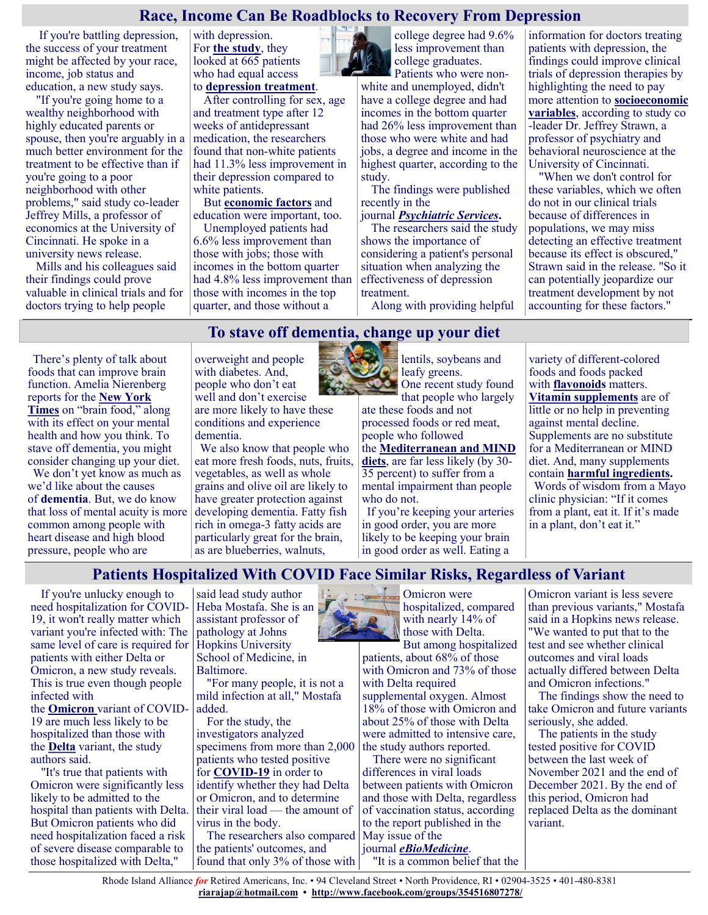#### **Race, Income Can Be Roadblocks to Recovery From Depression**

If you're battling depression, the success of your treatment might be affected by your race, income, job status and education, a new study says.

"If you're going home to a wealthy neighborhood with highly educated parents or spouse, then you're arguably in a much better environment for the treatment to be effective than if you're going to a poor neighborhood with other problems," said study co-leader Jeffrey Mills, a professor of economics at the University of Cincinnati. He spoke in a university news release.

Mills and his colleagues said their findings could prove valuable in clinical trials and for doctors trying to help people

with depression. For **[the study](https://pubmed.ncbi.nlm.nih.gov/35354325/)**, they looked at 665 patients who had equal access to **[depression treatment](https://www.cdc.gov/reproductivehealth/Depression/Treatments.htm)**.

After controlling for sex, age and treatment type after 12 weeks of antidepressant medication, the researchers found that non-white patients had 11.3% less improvement in their depression compared to white patients.

But **[economic factors](https://jamanetwork.com/journals/jamapsychiatry/fullarticle/2789901)** and education were important, too.

Unemployed patients had 6.6% less improvement than those with jobs; those with incomes in the bottom quarter had 4.8% less improvement than those with incomes in the top quarter, and those without a



college degree had 9.6% less improvement than college graduates.

Patients who were nonwhite and unemployed, didn't have a college degree and had incomes in the bottom quarter had 26% less improvement than those who were white and had jobs, a degree and income in the highest quarter, according to the study.

The findings were published recently in the

#### journal *[Psychiatric Services](https://pubmed.ncbi.nlm.nih.gov/35354325/)***.**

The researchers said the study shows the importance of considering a patient's personal situation when analyzing the effectiveness of depression treatment.

Along with providing helpful

information for doctors treating patients with depression, the findings could improve clinical trials of depression therapies by highlighting the need to pay more attention to **[socioeconomic](https://bmcpublichealth.biomedcentral.com/articles/10.1186/s12889-020-08820-4)  [variables](https://bmcpublichealth.biomedcentral.com/articles/10.1186/s12889-020-08820-4)**, according to study co -leader Dr. Jeffrey Strawn, a professor of psychiatry and behavioral neuroscience at the University of Cincinnati.

"When we don't control for these variables, which we often do not in our clinical trials because of differences in populations, we may miss detecting an effective treatment because its effect is obscured," Strawn said in the release. "So it can potentially jeopardize our treatment development by not accounting for these factors."

# **To stave off dementia, change up your diet**

There's plenty of talk about foods that can improve brain function. Amelia Nierenberg reports for the **[New York](https://www.nytimes.com/2022/04/21/well/mind/dementia-prevention-food-diet.html)  [Times](https://www.nytimes.com/2022/04/21/well/mind/dementia-prevention-food-diet.html)** on "brain food," along with its effect on your mental health and how you think. To stave off dementia, you might consider changing up your diet.

We don't yet know as much as we'd like about the causes of **[dementia](https://justcareusa.org/coronavirus-coping-with-dementia/)**. But, we do know that loss of mental acuity is more common among people with heart disease and high blood pressure, people who are

overweight and people with diabetes. And, people who don't eat well and don't exercise are more likely to have these conditions and experience dementia.

We also know that people who eat more fresh foods, nuts, fruits, vegetables, as well as whole grains and olive oil are likely to have greater protection against developing dementia. Fatty fish rich in omega-3 fatty acids are particularly great for the brain, as are blueberries, walnuts,



lentils, soybeans and **leafy** greens. One recent study found

that people who largely ate these foods and not

processed foods or red meat, people who followed the **[Mediterranean and MIND](https://justcareusa.org/eat-more-plants-reduce-risk-of-alzheimers/)** 

**[diets](https://justcareusa.org/eat-more-plants-reduce-risk-of-alzheimers/)**, are far less likely (by 30- 35 percent) to suffer from a mental impairment than people who do not.

If you're keeping your arteries in good order, you are more likely to be keeping your brain in good order as well. Eating a

variety of different-colored foods and foods packed with **[flavonoids](https://justcareusa.org/what-are-the-health-benefits-of-eating-organic-foods/)** matters. **[Vitamin supplements](https://justcareusa.org/new-study-finds-no-benefits-to-vitamin-d-and-omega-3-fatty-acid-supplements/)** are of little or no help in preventing against mental decline. Supplements are no substitute for a Mediterranean or MIND diet. And, many supplements contain **[harmful ingredients.](https://justcareusa.org/avoid-supplements-with-these-15-ingredients/)** Words of wisdom from a Mayo clinic physician: "If it comes from a plant, eat it. If it's made in a plant, don't eat it."

# **Patients Hospitalized With COVID Face Similar Risks, Regardless of Variant**

If you're unlucky enough to need hospitalization for COVID-19, it won't really matter which variant you're infected with: The same level of care is required for patients with either Delta or Omicron, a new study reveals. This is true even though people infected with the **[Omicron](https://www.cdc.gov/coronavirus/2019-ncov/variants/omicron-variant.html)** variant of COVID-19 are much less likely to be hospitalized than those with the **[Delta](https://www.yalemedicine.org/news/5-things-to-know-delta-variant-covid)** variant, the study authors said.

"It's true that patients with Omicron were significantly less likely to be admitted to the hospital than patients with Delta. But Omicron patients who did need hospitalization faced a risk of severe disease comparable to those hospitalized with Delta,"

said lead study author Heba Mostafa. She is an assistant professor of pathology at Johns Hopkins University School of Medicine, in Baltimore.

"For many people, it is not a mild infection at all," Mostafa added.

For the study, the investigators analyzed specimens from more than 2,000 patients who tested positive for **[COVID](https://www.cdc.gov/coronavirus/2019-ncov/index.html)-19** in order to identify whether they had Delta or Omicron, and to determine their viral load — the amount of virus in the body.

The researchers also compared May issue of the the patients' outcomes, and found that only 3% of those with



Omicron were hospitalized, compared with nearly 14% of those with Delta. But among hospitalized

patients, about 68% of those with Omicron and 73% of those with Delta required supplemental oxygen. Almost 18% of those with Omicron and about 25% of those with Delta were admitted to intensive care, the study authors reported.

There were no significant differences in viral loads between patients with Omicron and those with Delta, regardless of vaccination status, according to the report published in the journal *[eBioMedicine](https://www.sciencedirect.com/science/article/pii/S235239642200192X)*.

"It is a common belief that the

Omicron variant is less severe than previous variants," Mostafa said in a Hopkins news release. "We wanted to put that to the test and see whether clinical outcomes and viral loads actually differed between Delta and Omicron infections."

The findings show the need to take Omicron and future variants seriously, she added.

The patients in the study tested positive for COVID between the last week of November 2021 and the end of December 2021. By the end of this period, Omicron had replaced Delta as the dominant variant.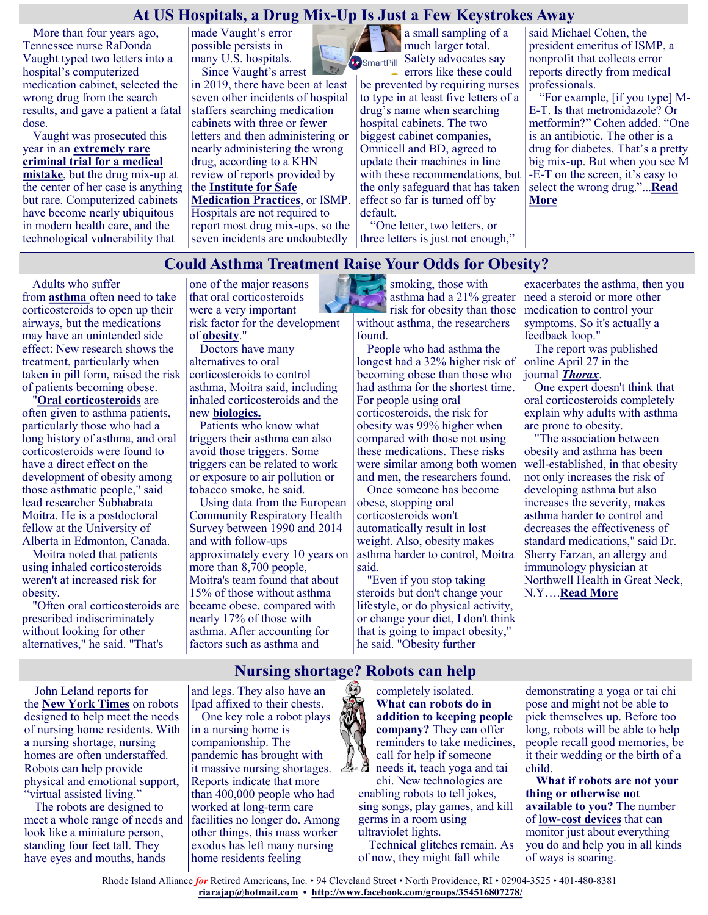#### **At US Hospitals, a Drug Mix-Up Is Just a Few Keystrokes Away**

More than four years ago, Tennessee nurse RaDonda Vaught typed two letters into a hospital's computerized medication cabinet, selected the wrong drug from the search results, and gave a patient a fatal dose.

Vaught was prosecuted this year in an **[extremely rare](https://khn.org/news/article/radonda-vaught-nurse-error-medication-dispenser-homicide-trial-tennessee/)  [criminal trial for a medical](https://khn.org/news/article/radonda-vaught-nurse-error-medication-dispenser-homicide-trial-tennessee/)  [mistake](https://khn.org/news/article/radonda-vaught-nurse-error-medication-dispenser-homicide-trial-tennessee/)**, but the drug mix-up at the center of her case is anything but rare. Computerized cabinets have become nearly ubiquitous in modern health care, and the technological vulnerability that

made Vaught's error possible persists in many U.S. hospitals.

Since Vaught's arrest in 2019, there have been at least seven other incidents of hospital staffers searching medication cabinets with three or fewer letters and then administering or nearly administering the wrong drug, according to a KHN review of reports provided by the **[Institute for Safe](https://www.ismp.org/)  [Medication Practices](https://www.ismp.org/)**, or ISMP. Hospitals are not required to report most drug mix-ups, so the seven incidents are undoubtedly

a small sampling of a much larger total. SmartPill Safety advocates say

errors like these could be prevented by requiring nurses to type in at least five letters of a drug's name when searching hospital cabinets. The two biggest cabinet companies, Omnicell and BD, agreed to update their machines in line with these recommendations, but the only safeguard that has taken effect so far is turned off by default.

"One letter, two letters, or three letters is just not enough,"

said Michael Cohen, the president emeritus of ISMP, a nonprofit that collects error reports directly from medical professionals.

"For example, [if you type] M-E-T. Is that metronidazole? Or metformin?" Cohen added. "One is an antibiotic. The other is a drug for diabetes. That's a pretty big mix-up. But when you see M -E-T on the screen, it's easy to select the wrong drug."...**[Read](https://khn.org/news/article/medication-cabinet-hospital-drug-errors/)  [More](https://khn.org/news/article/medication-cabinet-hospital-drug-errors/)**

## **Could Asthma Treatment Raise Your Odds for Obesity?**

Adults who suffer from **[asthma](https://medlineplus.gov/asthma.html)** often need to take corticosteroids to open up their airways, but the medications may have an unintended side effect: New research shows the treatment, particularly when taken in pill form, raised the risk of patients becoming obese.

"**[Oral corticosteroids](https://www.aafa.org/asthma-treatment-oral-corticosteroids-prednisone/)** are often given to asthma patients, particularly those who had a long history of asthma, and oral corticosteroids were found to have a direct effect on the development of obesity among those asthmatic people," said lead researcher Subhabrata Moitra. He is a postdoctoral fellow at the University of Alberta in Edmonton, Canada.

Moitra noted that patients using inhaled corticosteroids weren't at increased risk for obesity.

"Often oral corticosteroids are prescribed indiscriminately without looking for other alternatives," he said. "That's

one of the major reasons that oral corticosteroids were a very important risk factor for the development of **[obesity](https://www.cdc.gov/obesity/index.html)**."

Doctors have many alternatives to oral corticosteroids to control asthma, Moitra said, including inhaled corticosteroids and the new **[biologics.](https://www.aaaai.org/tools-for-the-public/conditions-library/asthma/biologics-for-the-management-of-severe-asthma)**

Patients who know what triggers their asthma can also avoid those triggers. Some triggers can be related to work or exposure to air pollution or tobacco smoke, he said.

Using data from the European Community Respiratory Health Survey between 1990 and 2014 and with follow-ups approximately every 10 years on more than 8,700 people, Moitra's team found that about 15% of those without asthma became obese, compared with nearly 17% of those with asthma. After accounting for factors such as asthma and

smoking, those with asthma had a 21% greater P risk for obesity than those without asthma, the researchers found.

People who had asthma the longest had a 32% higher risk of becoming obese than those who had asthma for the shortest time. For people using oral corticosteroids, the risk for obesity was 99% higher when compared with those not using these medications. These risks were similar among both women and men, the researchers found.

Once someone has become obese, stopping oral corticosteroids won't automatically result in lost weight. Also, obesity makes asthma harder to control, Moitra said.

"Even if you stop taking steroids but don't change your lifestyle, or do physical activity, or change your diet, I don't think that is going to impact obesity," he said. "Obesity further

exacerbates the asthma, then you need a steroid or more other medication to control your symptoms. So it's actually a feedback loop."

The report was published online April 27 in the journal *[Thorax](https://thorax.bmj.com/content/early/2022/04/20/thoraxjnl-2021-217867)*.

One expert doesn't think that oral corticosteroids completely explain why adults with asthma are prone to obesity.

"The association between obesity and asthma has been well-established, in that obesity not only increases the risk of developing asthma but also increases the severity, makes asthma harder to control and decreases the effectiveness of standard medications," said Dr. Sherry Farzan, an allergy and immunology physician at Northwell Health in Great Neck, N.Y….**[Read Mor](https://consumer.healthday.com/5-2-asthma-could-raise-your-odds-for-obesity-2657223857.html)**e

John Leland reports for the **[New York Times](https://www.nytimes.com/2022/04/21/realestate/nursing-home-robots.html)** on robots designed to help meet the needs of nursing home residents. With a nursing shortage, nursing homes are often understaffed. Robots can help provide physical and emotional support, "virtual assisted living."

The robots are designed to meet a whole range of needs and look like a miniature person, standing four feet tall. They have eyes and mouths, hands

**Nursing shortage? Robots can help** and legs. They also have an Ipad affixed to their chests.

One key role a robot plays in a nursing home is companionship. The pandemic has brought with it massive nursing shortages. Reports indicate that more than 400,000 people who had worked at long-term care facilities no longer do. Among other things, this mass worker exodus has left many nursing home residents feeling

completely isolated. **What can robots do in addition to keeping people company?** They can offer reminders to take medicines, call for help if someone needs it, teach yoga and tai

chi. New technologies are enabling robots to tell jokes, sing songs, play games, and kill germs in a room using ultraviolet lights.

Technical glitches remain. As of now, they might fall while

demonstrating a yoga or tai chi pose and might not be able to pick themselves up. Before too long, robots will be able to help people recall good memories, be it their wedding or the birth of a child.

**What if robots are not your thing or otherwise not available to you?** The number of **low-[cost devices](https://justcareusa.org/health-tech-that-helps-patients-in-hospital/)** that can monitor just about everything you do and help you in all kinds of ways is soaring.